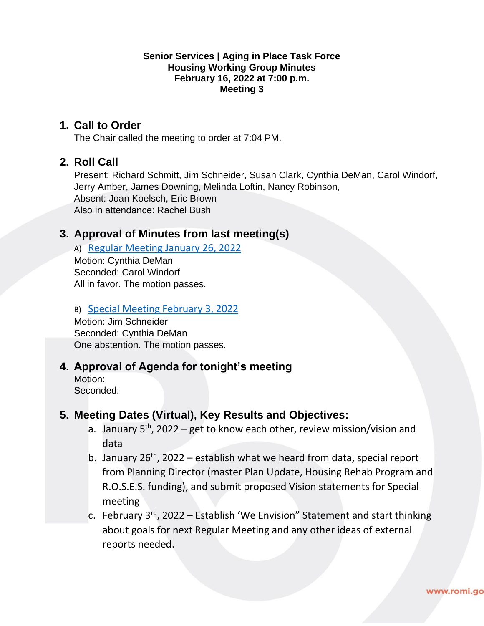#### **Senior Services | Aging in Place Task Force Housing Working Group Minutes February 16, 2022 at 7:00 p.m. Meeting 3**

### **1. Call to Order**

The Chair called the meeting to order at 7:04 PM.

### **2. Roll Call**

Present: Richard Schmitt, Jim Schneider, Susan Clark, Cynthia DeMan, Carol Windorf, Jerry Amber, James Downing, Melinda Loftin, Nancy Robinson, Absent: Joan Koelsch, Eric Brown Also in attendance: Rachel Bush

### **3. Approval of Minutes from last meeting(s)**

A) [Regular Meeting January 26, 2022](https://www.romi.gov/DocumentCenter/View/32010/01-26-2022-Housing-Working-Group-Agenda-) Motion: Cynthia DeMan Seconded: Carol Windorf All in favor. The motion passes.

#### B) [Special Meeting February 3, 2022](https://www.romi.gov/DocumentCenter/View/32009/02-03-2022-Housing-Work-Group-Draft-Meeting-Minutes)

Motion: Jim Schneider Seconded: Cynthia DeMan One abstention. The motion passes.

# **4. Approval of Agenda for tonight's meeting**

Motion: Seconded:

# **5. Meeting Dates (Virtual), Key Results and Objectives:**

- a. January  $5<sup>th</sup>$ , 2022 get to know each other, review mission/vision and data
- b. January  $26<sup>th</sup>$ , 2022 establish what we heard from data, special report from Planning Director (master Plan Update, Housing Rehab Program and R.O.S.E.S. funding), and submit proposed Vision statements for Special meeting
- c. February  $3^{rd}$ , 2022 Establish 'We Envision" Statement and start thinking about goals for next Regular Meeting and any other ideas of external reports needed.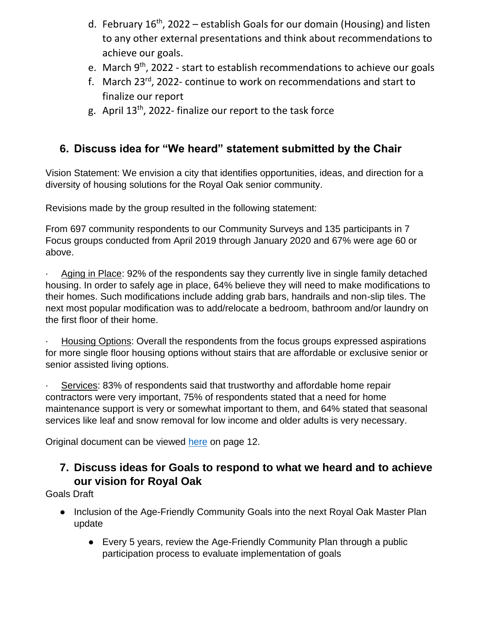- d. February 16<sup>th</sup>, 2022 establish Goals for our domain (Housing) and listen to any other external presentations and think about recommendations to achieve our goals.
- e. March 9<sup>th</sup>, 2022 start to establish recommendations to achieve our goals
- f. March 23rd, 2022- continue to work on recommendations and start to finalize our report
- g. April 13th, 2022- finalize our report to the task force

# **6. Discuss idea for "We heard" statement submitted by the Chair**

Vision Statement: We envision a city that identifies opportunities, ideas, and direction for a diversity of housing solutions for the Royal Oak senior community.

Revisions made by the group resulted in the following statement:

From 697 community respondents to our Community Surveys and 135 participants in 7 Focus groups conducted from April 2019 through January 2020 and 67% were age 60 or above.

Aging in Place: 92% of the respondents say they currently live in single family detached housing. In order to safely age in place, 64% believe they will need to make modifications to their homes. Such modifications include adding grab bars, handrails and non-slip tiles. The next most popular modification was to add/relocate a bedroom, bathroom and/or laundry on the first floor of their home.

· Housing Options: Overall the respondents from the focus groups expressed aspirations for more single floor housing options without stairs that are affordable or exclusive senior or senior assisted living options.

· Services: 83% of respondents said that trustworthy and affordable home repair contractors were very important, 75% of respondents stated that a need for home maintenance support is very or somewhat important to them, and 64% stated that seasonal services like leaf and snow removal for low income and older adults is very necessary.

Original document can be viewed [here](https://www.romi.gov/DocumentCenter/View/31226/Data-Summary) on page 12.

# **7. Discuss ideas for Goals to respond to what we heard and to achieve our vision for Royal Oak**

Goals Draft

- Inclusion of the Age-Friendly Community Goals into the next Royal Oak Master Plan update
	- Every 5 years, review the Age-Friendly Community Plan through a public participation process to evaluate implementation of goals